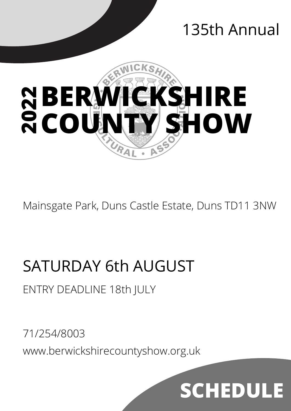# 135th Annual



Mainsgate Park, Duns Castle Estate, Duns TD11 3NW

# SATURDAY 6th AUGUST

# ENTRY DEADLINE 18th JULY

71/254/8003 www.berwickshirecountyshow.org.uk

# **SCHEDUL**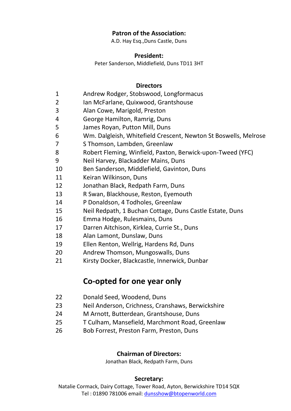### **Patron of the Association:**

A.D. Hay Esq.,Duns Castle, Duns

#### **President:**

Peter Sanderson, Middlefield, Duns TD11 3HT

#### **Directors**

- Andrew Rodger, Stobswood, Longformacus
- Ian McFarlane, Quixwood, Grantshouse
- Alan Cowe, Marigold, Preston
- George Hamilton, Ramrig, Duns
- James Royan, Putton Mill, Duns
- Wm. Dalgleish, Whitefield Crescent, Newton St Boswells, Melrose
- S Thomson, Lambden, Greenlaw
- Robert Fleming, Winfield, Paxton, Berwick-upon-Tweed (YFC)
- Neil Harvey, Blackadder Mains, Duns
- Ben Sanderson, Middlefield, Gavinton, Duns
- Keiran Wilkinson, Duns
- Jonathan Black, Redpath Farm, Duns
- R Swan, Blackhouse, Reston, Eyemouth
- P Donaldson, 4 Todholes, Greenlaw
- Neil Redpath, 1 Buchan Cottage, Duns Castle Estate, Duns
- Emma Hodge, Rulesmains, Duns
- Darren Aitchison, Kirklea, Currie St., Duns
- Alan Lamont, Dunslaw, Duns
- Ellen Renton, Wellrig, Hardens Rd, Duns
- Andrew Thomson, Mungoswalls, Duns
- Kirsty Docker, Blackcastle, Innerwick, Dunbar

# **Co-opted for one year only**

- Donald Seed, Woodend, Duns
- Neil Anderson, Crichness, Cranshaws, Berwickshire
- M Arnott, Butterdean, Grantshouse, Duns
- T Culham, Mansefield, Marchmont Road, Greenlaw
- Bob Forrest, Preston Farm, Preston, Duns

#### **Chairman of Directors:**

Jonathan Black, Redpath Farm, Duns

#### **Secretary:**

Natalie Cormack, Dairy Cottage, Tower Road, Ayton, Berwickshire TD14 5QX Tel : 01890 781006 email: [dunsshow@btopenworld.com](mailto:dunsshow@btopenworld.com)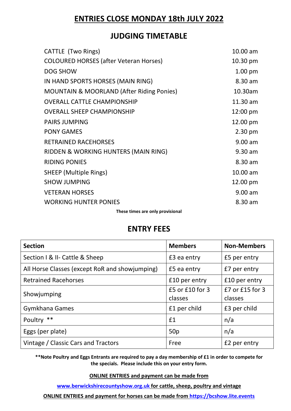# **ENTRIES CLOSE MONDAY 18th JULY 2022**

# **JUDGING TIMETABLE**

| CATTLE (Two Rings)                                   | $10.00$ am         |
|------------------------------------------------------|--------------------|
| <b>COLOURED HORSES (after Veteran Horses)</b>        | 10.30 pm           |
| <b>DOG SHOW</b>                                      | 1.00 <sub>pm</sub> |
| IN HAND SPORTS HORSES (MAIN RING)                    | 8.30 am            |
| <b>MOUNTAIN &amp; MOORLAND (After Riding Ponies)</b> | 10.30am            |
| <b>OVERALL CATTLE CHAMPIONSHIP</b>                   | 11.30 am           |
| <b>OVERALL SHEEP CHAMPIONSHIP</b>                    | $12:00 \text{ pm}$ |
| <b>PAIRS JUMPING</b>                                 | 12.00 pm           |
| <b>PONY GAMES</b>                                    | $2.30 \text{ pm}$  |
| <b>RETRAINED RACEHORSES</b>                          | $9.00$ am          |
| RIDDEN & WORKING HUNTERS (MAIN RING)                 | $9.30$ am          |
| <b>RIDING PONIES</b>                                 | 8.30 am            |
| <b>SHEEP (Multiple Rings)</b>                        | $10.00$ am         |
| <b>SHOW JUMPING</b>                                  | 12.00 pm           |
| <b>VETERAN HORSES</b>                                | 9.00 am            |
| <b>WORKING HUNTER PONIES</b>                         | 8.30 am            |
| These times are antumportate nat                     |                    |

**These times are only provisional**

# **ENTRY FEES**

| <b>Section</b>                                 | <b>Members</b>                 | <b>Non-Members</b>         |
|------------------------------------------------|--------------------------------|----------------------------|
| Section I & II- Cattle & Sheep                 | £3 ea entry                    | £5 per entry               |
| All Horse Classes (except RoR and showjumping) | £5 ea entry                    | £7 per entry               |
| <b>Retrained Racehorses</b>                    | £10 per entry                  | £10 per entry              |
| Showjumping                                    | $£5$ or $£10$ for 3<br>classes | £7 or £15 for 3<br>classes |
| Gymkhana Games                                 | £1 per child                   | £3 per child               |
| Poultry **                                     | £1                             | n/a                        |
| Eggs (per plate)                               | 50p                            | n/a                        |
| Vintage / Classic Cars and Tractors            | Free                           | £2 per entry               |

**\*\*Note Poultry and Eggs Entrants are required to pay a day membership of £1 in order to compete for the specials. Please include this on your entry form.**

**ONLINE ENTRIES and payment can be made from** 

**[www.berwickshirecountyshow.org.uk](http://www.berwickshirecountyshow.org.uk/) for cattle, sheep, poultry and vintage**

**ONLINE ENTRIES and payment for horses can be made from https://bcshow.lite.events**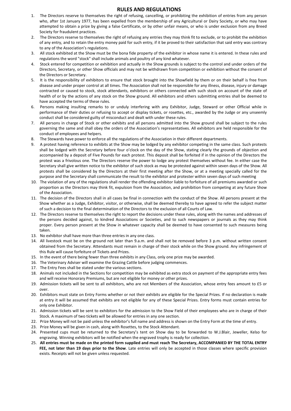#### **RULES AND REGULATIONS**

- 1. The Directors reserve to themselves the right of refusing, cancelling, or prohibiting the exhibition of entries from any person who, after 1st January 1977, has been expelled from the membership of any Agricultural or Dairy Society, or who may have attempted to obtain a prize by giving a false Certificate, or by other unfair means, or who is under exclusion from any Breed Society for fraudulent practices.
- 2. The Directors reserve to themselves the right of refusing any entries they may think fit to exclude, or to prohibit the exhibition of any entry, and to retain the entry money paid for such entry, if it be proved to their satisfaction that said entry was contrary to any of the Association's regulations.
- 3. All stock exhibited at the Show must be the bona fide property of the exhibitor in whose name it is entered. In these rules and regulations the word "stock" shall include animals and poultry of any kind whatever.
- 4. Stock entered for competition or exhibition and actually in the Show grounds is subject to the control and under orders of the Directors, Secretary, or other Show officials and may not be withdrawn from competition or exhibition without the consent of the Directors or Secretary.
- 5. It is the responsibility of exhibitors to ensure that stock brought into the Showfield by them or on their behalf is free from disease and under proper control at all times. The Association shall not be responsible for any illness, disease, injury or damage contracted or caused to stock, stock attendants, exhibitors or others connected with such stock on account of the state of health of or by the actions of any stock on the Show ground. All exhibitors and others submitting entries shall be deemed to have accepted the terms of these rules.
- 6. Persons making insulting remarks to or unduly interfering with any Exhibitor, Judge, Steward or other Official while in performance of their duties or refusing to accept or display tickets, or rosettes, etc., awarded by the Judge or any unseemly conduct shall be considered guilty of misconduct and dealt with under these rules.
- 7. All persons in charge of Stock or other exhibits and all persons admitted into the Show ground shall be subject to the rules governing the same and shall obey the orders of the Association's representatives. All exhibitors are held responsible for the conduct of employees and helpers.
- 8. The Stewards have power to enforce all the regulations of the Association in their different departments.
- 9. A protest having reference to exhibits at the Show may be lodged by any exhibitor competing in the same class. Such protests shall be lodged with the Secretary before four o'clock on the day of the Show, stating clearly the grounds of objection and accompanied by a deposit of Five Pounds for each protest. This deposit shall be forfeited if in the opinion of the Directors the protest was a frivolous one. The Directors reserve the power to lodge any protest themselves without fee. In either case the Secretary shall give written notice to the exhibitor of such stock as may be protested against within seven days of the Show. All protests shall be considered by the Directors at their first meeting after the Show, or at a meeting specially called for the purpose and the Secretary shall communicate the result to the exhibitor and protester within seven days of such meeting
- 10. The violation of any of the regulations shall render the offending exhibitor liable to forfeiture of all premiums awarded or such proportion as the Directors may think fit, expulsion from the Association, and prohibition from competing at any future Show of the Association.
- 11. The decision of the Directors shall in all cases be final in connection with the conduct of the Show. All persons present at the Show whether as a Judge, Exhibitor, visitor, or otherwise, shall be deemed thereby to have agreed to refer the subject matter of such a decision to the final determination of the Directors to the exclusion of all Courts of Law.
- 12. The Directors reserve to themselves the right to report the decisions under these rules, along with the names and addresses of the persons decided against, to kindred Associations or Societies, and to such newspapers or journals as they may think proper. Every person present at the Show in whatever capacity shall be deemed to have consented to such measures being taken.
- 13. No exhibitor shall have more than three entries in any one class.
- 14. All livestock must be on the ground not later than 9.a.m. and shall not be removed before 3 p.m. without written consent obtained from the Secretary. Attendants must remain in charge of their stock while on the Show ground. Any infringement of this Rule will cause forfeiture of Tickets and Prizes.
- 15. In the event of there being fewer than three exhibits in any Class, only one prize may be awarded.
- 16. The Veterinary Adviser will examine the Grazing Cattle before judging commences.
- 17. The Entry Fees shall be stated under the various sections.
- 18. Animals not included in the Sections for competition may be exhibited as extra stock on payment of the appropriate entry fees and will receive Honorary Premiums, but are not eligible for money or other prizes.
- 19. Admission tickets will be sent to all exhibitors, who are not Members of the Association, whose entry fees amount to £5 or over.
- 20. Exhibitors must state on Entry Forms whether or not their exhibits are eligible for the Special Prizes. If no declaration is made at entry it will be assumed that exhibits are not eligible for any of these Special Prizes. Entry forms must contain entries for only one Exhibitor.
- 21. Admission tickets will be sent to exhibitors for the admission to the Show Field of their employees who are in charge of their Stock. A maximum of two tickets will be allowed for entries in any one section.
- 22. Prize Money will not be paid unless the exhibitor's full name and address is shown on the Entry Form at the time of entry.
- 23. Prize Money will be given in cash, along with Rosettes, to the Stock Attendant.
- 24. Presented cups must be returned to the Secretary's tent on Show day to be forwarded to W.J.Blair, Jeweller, Kelso for engraving. Winning exhibitors will be notified when the engraved trophy is ready for collection.
- 25. **All entries must be made on the printed form supplied and must reach The Secretary, ACCOMPANIED BY THE TOTAL ENTRY FEE, not later than 19 days prior to the Show**. Late entries will only be accepted in those classes where specific provision exists. Receipts will not be given unless requested.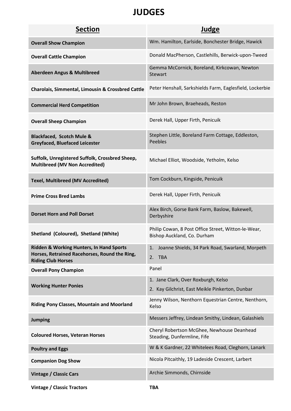# **JUDGES**

| <b>Section</b>                                                                                                         | <b>Judge</b>                                                                           |
|------------------------------------------------------------------------------------------------------------------------|----------------------------------------------------------------------------------------|
| <b>Overall Show Champion</b>                                                                                           | Wm. Hamilton, Earlside, Bonchester Bridge, Hawick                                      |
| <b>Overall Cattle Champion</b>                                                                                         | Donald MacPherson, Castlehills, Berwick-upon-Tweed                                     |
| <b>Aberdeen Angus &amp; Multibreed</b>                                                                                 | Gemma McCornick, Boreland, Kirkcowan, Newton<br><b>Stewart</b>                         |
| <b>Charolais, Simmental, Limousin &amp; Crossbred Cattle</b>                                                           | Peter Henshall, Sarkshields Farm, Eaglesfield, Lockerbie                               |
| <b>Commercial Herd Competition</b>                                                                                     | Mr John Brown, Braeheads, Reston                                                       |
| <b>Overall Sheep Champion</b>                                                                                          | Derek Hall, Upper Firth, Penicuik                                                      |
| <b>Blackfaced, Scotch Mule &amp;</b><br><b>Greyfaced, Bluefaced Leicester</b>                                          | Stephen Little, Boreland Farm Cottage, Eddleston,<br><b>Peebles</b>                    |
| Suffolk, Unregistered Suffolk, Crossbred Sheep,<br><b>Multibreed (MV Non Accredited)</b>                               | Michael Elliot, Woodside, Yetholm, Kelso                                               |
| <b>Texel, Multibreed (MV Accredited)</b>                                                                               | Tom Cockburn, Kingside, Penicuik                                                       |
| <b>Prime Cross Bred Lambs</b>                                                                                          | Derek Hall, Upper Firth, Penicuik                                                      |
| <b>Dorset Horn and Poll Dorset</b>                                                                                     | Alex Birch, Gorse Bank Farm, Baslow, Bakewell,<br>Derbyshire                           |
| Shetland (Coloured), Shetland (White)                                                                                  | Philip Cowan, 8 Post Office Street, Witton-le-Wear,<br>Bishop Auckland, Co. Durham     |
| Ridden & Working Hunters, In Hand Sports<br>Horses, Retrained Racehorses, Round the Ring,<br><b>Riding Club Horses</b> | Joanne Shields, 34 Park Road, Swarland, Morpeth<br>1.<br>2. TBA                        |
| <b>Overall Pony Champion</b>                                                                                           | Panel                                                                                  |
| <b>Working Hunter Ponies</b>                                                                                           | 1. Jane Clark, Over Roxburgh, Kelso<br>2. Kay Gilchrist, East Meikle Pinkerton, Dunbar |
| <b>Riding Pony Classes, Mountain and Moorland</b>                                                                      | Jenny Wilson, Nenthorn Equestrian Centre, Nenthorn,<br>Kelso                           |
| <b>Jumping</b>                                                                                                         | Messers Jeffrey, Lindean Smithy, Lindean, Galashiels                                   |
| <b>Coloured Horses, Veteran Horses</b>                                                                                 | Cheryl Robertson McGhee, Newhouse Deanhead<br>Steading, Dunfermline, Fife              |
| <b>Poultry and Eggs</b>                                                                                                | W & K Gardner, 22 Whitelees Road, Cleghorn, Lanark                                     |
| <b>Companion Dog Show</b>                                                                                              | Nicola Pitcaithly, 19 Ladeside Crescent, Larbert                                       |
| <b>Vintage / Classic Cars</b>                                                                                          | Archie Simmonds, Chirnside                                                             |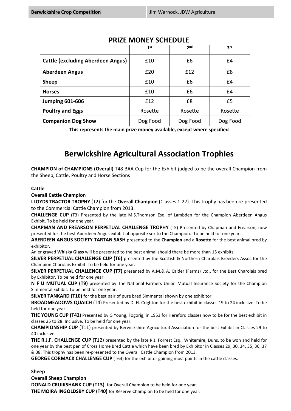|                                          | 1 <sup>st</sup> | 2 <sub>nd</sub> | 3 <sup>rd</sup> |
|------------------------------------------|-----------------|-----------------|-----------------|
| <b>Cattle (excluding Aberdeen Angus)</b> | £10             | £6              | £4              |
| <b>Aberdeen Angus</b>                    | £20             | f12             | £8              |
| <b>Sheep</b>                             | £10             | £6              | £4              |
| <b>Horses</b>                            | £10             | £6              | £4              |
| <b>Jumping 601-606</b>                   | f12             | £8              | £5              |
| <b>Poultry and Eggs</b>                  | Rosette         | Rosette         | Rosette         |
| <b>Companion Dog Show</b>                | Dog Food        | Dog Food        | Dog Food        |

### **PRIZE MONEY SCHEDULE**

**This represents the main prize money available, except where specified**

# **Berwickshire Agricultural Association Trophies**

**CHAMPION of CHAMPIONS (Overall)** T48 BAA Cup for the Exhibit judged to be the overall Champion from the Sheep, Cattle, Poultry and Horse Sections

#### **Cattle**

**Overall Cattle Champion**

**LLOYDS TRACTOR TROPHY** (T2) for the **Overall Champion** (Classes 1-27). This trophy has been re-presented to the Commercial Cattle Champion from 2013.

**CHALLENGE CUP** (T3) Presented by the late M.S.Thomson Esq. of Lambden for the Champion Aberdeen Angus Exhibit. To be held for one year.

**CHAPMAN AND FREARSON PERPETUAL CHALLENGE TROPHY** (T5) Presented by Chapman and Frearson, now presented for the best Aberdeen Angus exhibit of opposite sex to the Champion. To be held for one year.

**ABERDEEN ANGUS SOCIETY TARTAN SASH** presented to the **Champion** and a **Rosette** for the best animal bred by exhibitor.

An engraved **Whisky Glass** will be presented to the best animal should there be more than 15 exhibits.

**SILVER PERPETUAL CHALLENGE CUP (T6)** presented by the Scottish & Northern Charolais Breeders Assoc for the Champion Charolais Exhibit. To be held for one year.

**SILVER PERPETUAL CHALLENGE CUP (T7)** presented by A.M.& A. Calder (Farms) Ltd., for the Best Charolais bred by Exhibitor. To be held for one year.

**N F U MUTUAL CUP (T9)** presented by The National Farmers Union Mutual Insurance Society for the Champion Simmental Exhibit. To be held for one year.

**SILVER TANKARD (T10)** for the best pair of pure bred Simmental shown by one exhibitor.

**BROADMEADOWS QUAICH** (T4) Presented by D. H. Crighton for the best exhibit in classes 19 to 24 inclusive. To be held for one year.

**THE YOUNG CUP (T42)** Presented by G Young, Fogorig, in 1953 for Hereford classes now to be for the best exhibit in classes 25 to 28. Inclusive. To be held for one year.

**CHAMPIONSHIP CUP** (T11) presented by Berwickshire Agricultural Association for the best Exhibit in Classes 29 to 40 inclusive.

**THE R.J.F. CHALLENGE CUP** (T12) presented by the late R.J. Forrest Esq., Whitemire, Duns, to be won and held for one year by the best pen of Cross Home Bred Cattle which have been bred by Exhibitor in Classes 29, 30, 34, 35, 36, 37 & 38. This trophy has been re-presented to the Overall Cattle Champion from 2013.

**GEORGE CORMACK CHALLENGE CUP** (T64) for the exhibitor gaining most points in the cattle classes.

**Sheep**

**Overall Sheep Champion DONALD CRUIKSHANK CUP (T13)** for Overall Champion to be held for one year.

**THE MOIRA INGOLDSBY CUP (T40)** for Reserve Champion to be held for one year.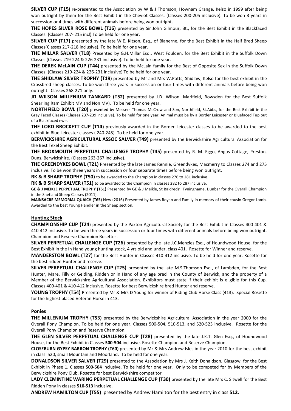**SILVER CUP (T15)** re-presented to the Association by W & J Thomson, Hownam Grange, Kelso in 1999 after being won outright by them for the Best Exhibit in the Cheviot Classes. (Classes 200-205 inclusive). To be won 3 years in succession or 4 times with different animals before being won outright.

**THE HOPES SILVER ROSE BOWL (T16)** presented by Sir John Gilmour, Bt., for the Best Exhibit in the Blackfaced Classes. (Classes 207- 215 incl) To be held for one year.

**SILVER CUP (T17)** presented by the late W.E. Kitson, Esq., of Blanerne, for the Best Exhibit in the Half Bred Sheep Classes(Classes 217-218 inclusive). To be held for one year.

**THE MILLAR SALVER (T18)** Presented by G.H.Millar Esq., West Foulden, for the Best Exhibit in the Suffolk Down Classes (Classes 219-224 & 226-231 inclusive). To be held for one year.

**THE DEREK McLAIN CUP (T44)** presented by the McLain family for the Best of Opposite Sex in the Suffolk Down Classes. (Classes 219-224 & 226-231 inclusive) To be held for one year.

**THE SHIDLAW SILVER TROPHY (T19)** presented by Mr and Mrs W.Potts, Shidlaw, Kelso for the best exhibit in the Crossbred sheep classes. To be won three years in succession or four times with different animals before being won outright. Classes 268-271 only.

**JD WILSON MILLENIUM TANKARD (T52)** presented by J.D. Wilson, Marlfield, Bowsden for the Best Suffolk Shearling Ram Exhibit MV and Non MV). To be held for one year.

**NORTHFIELD BOWL (T20)** presented by Messers Thomas McCrow and Son, Northfield, St.Abbs, for the Best Exhibit in the Grey Faced Classes (Classes 237-239 inclusive). To be held for one year. Animal must be by a Border Leicester or Bluefaced Tup out of a Blackfaced ewe.

**THE LORD BROCKETT CUP (T14)** previously awarded in the Border Leicester classes to be awarded to the best exhibit in Blue Leicester classes ( 240-245). To be held for one year.

**BERWICKSHIRE AGRICULTURAL ASSOC SALVER (T49)** presented by the Berwickshire Agricultural Association for the Best Texel Sheep Exhibit.

**THE BROXMOUTH PERPETUAL CHALLENGE TROPHY (T45)** presented by R. M. Eggo, Angus Cottage, Preston, Duns, Berwickshire. (Classes 263-267 inclusive).

**THE GREENDYKES BOWL (T21)** Presented by the late James Rennie, Greendykes, Macmerry to Classes 274 and 275 inclusive. To be won three years in succession or four separate times before being won outright.

**RK & B SHARP TROPHY (T50)** to be awarded to the Champion in classes 276 to 281 inclusive.

**RK & B SHARP SALVER (T51)** to be awarded to the Champion in classes 282 to 287 inclusive.

**GE & J MEIKLE PERPETUAL TROPHY (T61)** Presented by GE & J Meikle, St Baldreds', Tyninghame, Dunbar for the Overall Champion in the Shetland Sheep Classes (2011).

**MAINSACRE MEMORIAL QUAICH (T65)** New (2016) Presented by James Royan and Family in memory of their cousin Gregor Lamb. Awarded to the best Young Handler in the Sheep section.

#### **Hunting Stock**

**CHAMPIONSHIP CUP (T24**) presented by the Paxton Agricultural Society for the Best Exhibit in Classes 400-401 & 410-412 inclusive. To be won three years in succession or four times with different animals before being won outright. Champion and Reserve Champion Rosettes.

**SILVER PERPETUAL CHALLENGE CUP (T26)** presented by the late J.C.Menzies.Esq., of Houndwood House, for the Best Exhibit in the In Hand young hunting stock, 4 yrs old and under, class 401. Rosette for Winner and reserve.

**MANDERSTON BOWL (T27**) for the Best Hunter in Classes 410-412 inclusive. To be held for one year. Rosette for the best ridden Hunter and reserve.

**SILVER PERPETUAL CHALLENGE CUP (T25)** presented by the late M.S.Thomson Esq., of Lambden, for the Best Hunter, Mare, Filly or Gelding, Ridden or in Hand of any age bred in the County of Berwick, and the property of a Member of the Berwickshire Agricultural Association. Exhibitors must state if their exhibit is eligible for this Cup. Classes 400-401 & 410-412 inclusive. Rosette for best Berwickshire bred Hunter and reserve.

**YOUNG TROPHY (T54)** Presented by Mr & Mrs D Young for winner of Riding Club Horse Class (413). Special Rosette for the highest placed Veteran Horse in 413.

#### **Ponies**

**THE MILLENIUM TROPHY (T53)** presented by the Berwickshire Agricultural Association in the year 2000 for the Overall Pony Champion. To be held for one year. Classes 500-504, 510-513, and 520-523 inclusive. Rosette for the Overall Pony Champion and Reserve Champion.

**THE GLEN SILVER PERPETUAL CHALLENGE CUP (T28)** presented by the late J.K.T. Glen Esq., of Houndwood House, for the Best Exhibit in Classes **500-504** inclusive. Rosette Champion and Reserve Champion.

**CLOSEBURN GYPSY BARRON TROPHY (T60)** presented by Mr & Mrs Andrew Isles in the year 2010 for the best exhibit in class 520, small Mountain and Moorland. To be held for one year.

**DONALDSON SILVER SALVER (T29)** presented to the Association by Mrs J. Keith Donaldson, Glasgow, for the Best Exhibit in Phase 1. Classes **500-504** inclusive. To be held for one year. Only to be competed for by Members of the Berwickshire Pony Club. Rosette for best Berwickshire competitor.

**LADY CLEMINTINE WARING PERPETUAL CHALLENGE CUP (T30)** presented by the late Mrs C. Sitwell for the Best Ridden Pony in classes **510-513** inclusive.

**ANDREW HAMILTON CUP (T55)** presented by Andrew Hamilton for the best entry in class **512.**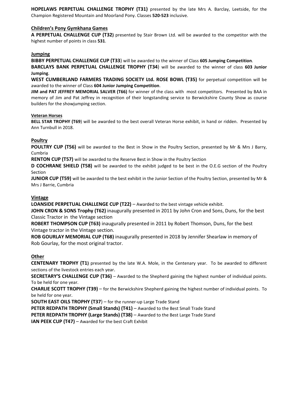**HOPELAWS PERPETUAL CHALLENGE TROPHY (T31)** presented by the late Mrs A. Barclay, Leetside, for the Champion Registered Mountain and Moorland Pony. Classes **520-523** inclusive.

#### **Children's Pony Gymkhana Games**

**A PERPETUAL CHALLENGE CUP (T32)** presented by Stair Brown Ltd. will be awarded to the competitor with the highest number of points in class **531**.

#### **Jumping**

**BIBBY PERPETUAL CHALLENGE CUP (T33**) will be awarded to the winner of Class **605 Jumping Competition**.

**BARCLAYS BANK PERPETUAL CHALLENGE TROPHY (T34**) will be awarded to the winner of class **603 Junior Jumping**.

**WEST CUMBERLAND FARMERS TRADING SOCIETY Ltd. ROSE BOWL (T35)** for perpetual competition will be awarded to the winner of Class **604 Junior Jumping Competition**.

**JIM and PAT JEFFREY MEMORIAL SALVER (T66)** for winner of the class with most competitors. Presented by BAA in memory of Jim and Pat Jeffrey in recognition of their longstanding service to Berwickshire County Show as course builders for the showjumping section.

#### **Veteran Horses**

**BELL STAR TROPHY (T69**) will be awarded to the best overall Veteran Horse exhibit, in hand or ridden. Presented by Ann Turnbull in 2018.

#### **Poultry**

**POULTRY CUP (T56)** will be awarded to the Best in Show in the Poultry Section, presented by Mr & Mrs J Barry, Cumbria

**RENTON CUP (T57)** will be awarded to the Reserve Best in Show in the Poultry Section

**D COCHRANE SHIELD (T58)** will be awarded to the exhibit judged to be best in the O.E.G section of the Poultry Section

**JUNIOR CUP (T59)** will be awarded to the best exhibit in the Junior Section of the Poultry Section, presented by Mr & Mrs J Barrie, Cumbria

#### **Vintage**

**LOANSIDE PERPETUAL CHALLENGE CUP (T22)** – Awarded to the best vintage vehicle exhibit.

**JOHN CRON & SONS Trophy (T62)** inaugurally presented in 2011 by John Cron and Sons, Duns, for the best Classic Tractor in the Vintage section

**ROBERT THOMPSON CUP (T63)** inaugurally presented in 2011 by Robert Thomson, Duns, for the best Vintage tractor in the Vintage section.

**ROB GOURLAY MEMORIAL CUP (T68)** inaugurally presented in 2018 by Jennifer Shearlaw in memory of Rob Gourlay, for the most original tractor.

#### **Other**

**CENTENARY TROPHY (T1)** presented by the late W.A. Mole, in the Centenary year. To be awarded to different sections of the livestock entries each year.

**SECRETARY'S CHALLENGE CUP (T36)** – Awarded to the Shepherd gaining the highest number of individual points. To be held for one year.

**CHARLIE SCOTT TROPHY (T39)** – for the Berwickshire Shepherd gaining the highest number of individual points. To be held for one year.

**SOUTH EAST OILS TROPHY (T37**) – for the runner-up Large Trade Stand

**PETER REDPATH TROPHY (Small Stands) (T41)** – Awarded to the Best Small Trade Stand **PETER REDPATH TROPHY (Large Stands) (T38)** – Awarded to the Best Large Trade Stand

**IAN PEEK CUP (T47)** – Awarded for the best Craft Exhibit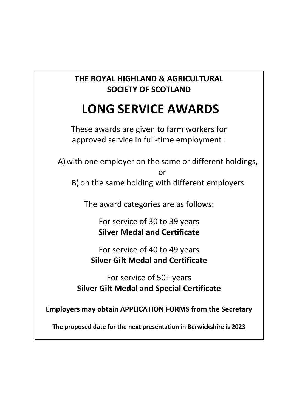# **THE ROYAL HIGHLAND & AGRICULTURAL SOCIETY OF SCOTLAND**

# **LONG SERVICE AWARDS**

These awards are given to farm workers for approved service in full-time employment :

A)with one employer on the same or different holdings,

or

B) on the same holding with different employers

The award categories are as follows:

For service of 30 to 39 years **Silver Medal and Certificate**

For service of 40 to 49 years **Silver Gilt Medal and Certificate**

For service of 50+ years **Silver Gilt Medal and Special Certificate**

**Employers may obtain APPLICATION FORMS from the Secretary**

**The proposed date for the next presentation in Berwickshire is 2023**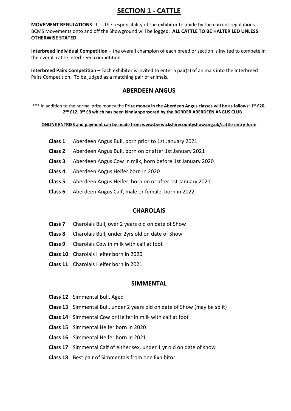# **SECTION 1 - CATTLE**

**MOVEMENT REGULATIONS**: It is the responsibility of the exhibitor to abide by the current regulations. BCMS Movements onto and off the Showground will be logged. **ALL CATTLE TO BE HALTER LED UNLESS OTHERWISE STATED.** 

**Interbreed Individual Competition –** the overall champion of each breed or section is invited to compete in the overall cattle interbreed competition.

**Interbreed Pairs Competition –** Each exhibitor is invited to enter a pair(s) of animals into the Interbreed Pairs Competition. To be judged as a matching pair of animals.

#### **ABERDEEN ANGUS**

\*\*\* In addition to the normal prize money the **Prize money in the Aberdeen Angus classes will be as follows: 1st £20, 2nd £12, 3rd £8 which has been kindly sponsored by the BORDER ABERDEEN ANGUS CLUB**

**ONLINE ENTRIES and payment can be made from www.berwickshirecountyshow.org.uk/cattle-entry-form**

- **Class 1** Aberdeen Angus Bull, born prior to 1st January 2021
- **Class 2** Aberdeen Angus Bull, born on or after 1st January 2021
- **Class 3** Aberdeen Angus Cow in milk, born before 1st January 2020
- **Class 4** Aberdeen Angus Heifer born in 2020
- **Class 5** Aberdeen Angus Heifer, born on or after 1st January 2021
- **Class 6** Aberdeen Angus Calf, male or female, born in 2022

#### **CHAROLAIS**

- **Class 7** Charolais Bull, over 2 years old on date of Show
- **Class 8** Charolais Bull, under 2yrs old on date of Show
- **Class 9** Charolais Cow in milk with calf at foot
- **Class 10** Charolais Heifer born in 2020
- **Class 11** Charolais Heifer born in 2021

#### **SIMMENTAL**

- **Class 12** Simmental Bull, Aged
- **Class 13** Simmental Bull, under 2 years old on date of Show (may be split)
- **Class 14** Simmental Cow or Heifer in milk with calf at foot
- **Class 15** Simmental Heifer born in 2020
- **Class 16** Simmental Heifer born in 2021
- **Class 17** Simmental Calf of either sex, under 1 yr old on date of show
- **Class 18** Best pair of Simmentals from one Exhibitor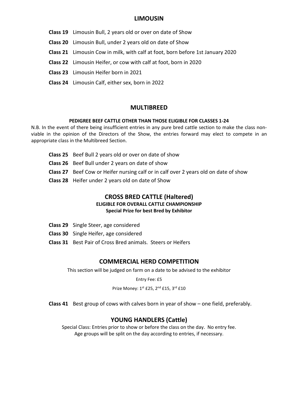#### **LIMOUSIN**

- **Class 19** Limousin Bull, 2 years old or over on date of Show
- **Class 20** Limousin Bull, under 2 years old on date of Show
- **Class 21** Limousin Cow in milk, with calf at foot, born before 1st January 2020
- **Class 22** Limousin Heifer, or cow with calf at foot, born in 2020
- **Class 23** Limousin Heifer born in 2021
- **Class 24** Limousin Calf, either sex, born in 2022

#### **MULTIBREED**

#### **PEDIGREE BEEF CATTLE OTHER THAN THOSE ELIGIBLE FOR CLASSES 1-24**

N.B. In the event of there being insufficient entries in any pure bred cattle section to make the class nonviable in the opinion of the Directors of the Show, the entries forward may elect to compete in an appropriate class in the Multibreed Section.

- **Class 25** Beef Bull 2 years old or over on date of show
- **Class 26** Beef Bull under 2 years on date of show
- **Class 27** Beef Cow or Heifer nursing calf or in calf over 2 years old on date of show
- **Class 28** Heifer under 2 years old on date of Show

#### **CROSS BRED CATTLE (Haltered) ELIGIBLE FOR OVERALL CATTLE CHAMPIONSHIP Special Prize for best Bred by Exhibitor**

- **Class 29** Single Steer, age considered
- **Class 30** Single Heifer, age considered
- **Class 31** Best Pair of Cross Bred animals. Steers or Heifers

#### **COMMERCIAL HERD COMPETITION**

This section will be judged on farm on a date to be advised to the exhibitor

Entry Fee: £5

Prize Money: 1st £25, 2<sup>nd</sup> £15, 3<sup>rd</sup> £10

**Class 41** Best group of cows with calves born in year of show – one field, preferably.

### **YOUNG HANDLERS (Cattle)**

Special Class: Entries prior to show or before the class on the day. No entry fee. Age groups will be split on the day according to entries, if necessary.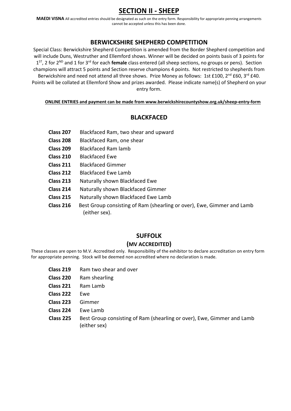# **SECTION II - SHEEP**

**MAEDI VISNA** All accredited entries should be designated as such on the entry form. Responsibility for appropriate penning arrangements cannot be accepted unless this has been done.

#### **BERWICKSHIRE SHEPHERD COMPETITION**

Special Class: Berwickshire Shepherd Competition is amended from the Border Shepherd competition and will include Duns, Westruther and Ellemford shows. Winner will be decided on points basis of 3 points for 1ST, 2 for 2ND and 1 for 3rd for each **female** class entered (all sheep sections, no groups or pens). Section champions will attract 5 points and Section reserve champions 4 points. Not restricted to shepherds from Berwickshire and need not attend all three shows. Prize Money as follows: 1st £100, 2<sup>nd</sup> £60, 3<sup>rd</sup> £40. Points will be collated at Ellemford Show and prizes awarded. Please indicate name(s) of Shepherd on your entry form.

#### **ONLINE ENTRIES and payment can be made from www.berwickshirecountyshow.org.uk/sheep-entry-form**

#### **BLACKFACED**

- **Class 207** Blackfaced Ram, two shear and upward
- **Class 208** Blackfaced Ram, one shear
- **Class 209** Blackfaced Ram lamb
- **Class 210** Blackfaced Ewe
- **Class 211** Blackfaced Gimmer
- **Class 212** Blackfaced Ewe Lamb
- **Class 213** Naturally shown Blackfaced Ewe
- **Class 214** Naturally shown Blackfaced Gimmer
- **Class 215** Naturally shown Blackfaced Ewe Lamb
- **Class 216** Best Group consisting of Ram (shearling or over), Ewe, Gimmer and Lamb (either sex).

#### **SUFFOLK**

#### **(MV ACCREDITED)**

These classes are open to M.V. Accredited only. Responsibility of the exhibitor to declare accreditation on entry form for appropriate penning. Stock will be deemed non accredited where no declaration is made.

- **Class 219** Ram two shear and over
- **Class 220** Ram shearling
- **Class 221** Ram Lamb
- **Class 222** Ewe
- **Class 223** Gimmer
- **Class 224** Ewe Lamb
- **Class 225** Best Group consisting of Ram (shearling or over), Ewe, Gimmer and Lamb (either sex)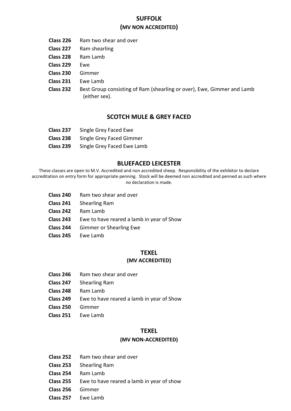#### **SUFFOLK (MV NON ACCREDITED)**

- **Class 226** Ram two shear and over
- **Class 227** Ram shearling
- **Class 228** Ram Lamb
- **Class 229** Ewe
- **Class 230** Gimmer
- **Class 231** Ewe Lamb
- **Class 232** Best Group consisting of Ram (shearling or over), Ewe, Gimmer and Lamb (either sex).

#### **SCOTCH MULE & GREY FACED**

- **Class 237** Single Grey Faced Ewe
- **Class 238** Single Grey Faced Gimmer
- **Class 239** Single Grey Faced Ewe Lamb

#### **BLUEFACED LEICESTER**

These classes are open to M.V. Accredited and non accredited sheep. Responsibility of the exhibitor to declare accreditation on entry form for appropriate penning. Stock will be deemed non accredited and penned as such where no declaration is made.

- **Class 240** Ram two shear and over
- **Class 241** Shearling Ram
- **Class 242** Ram Lamb
- **Class 243** Ewe to have reared a lamb in year of Show
- **Class 244** Gimmer or Shearling Ewe
- **Class 245** Ewe Lamb

#### **TEXEL**

#### **(MV ACCREDITED)**

- **Class 246** Ram two shear and over
- **Class 247** Shearling Ram
- **Class 248** Ram Lamb
- **Class 249** Ewe to have reared a lamb in year of Show
- **Class 250** Gimmer
- **Class 251** Ewe Lamb

#### **TEXEL**

#### **(MV NON-ACCREDITED)**

- **Class 252** Ram two shear and over
- **Class 253** Shearling Ram
- **Class 254** Ram Lamb
- **Class 255** Ewe to have reared a lamb in year of show
- **Class 256** Gimmer
- **Class 257** Ewe Lamb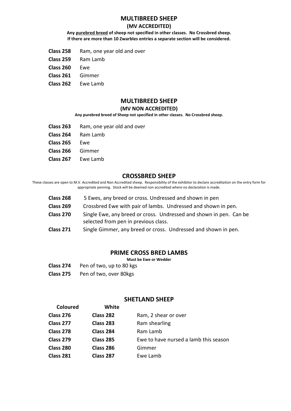#### **MULTIBREED SHEEP**

#### **(MV ACCREDITED)**

**Any purebred breed of sheep not specified in other classes. No Crossbred sheep. If there are more than 10 Zwarbles entries a separate section will be considered.**

- **Class 258** Ram, one year old and over
- **Class 259** Ram Lamb
- **Class 260** Ewe
- **Class 261** Gimmer
- **Class 262** Ewe Lamb

#### **MULTIBREED SHEEP**

#### **(MV NON ACCREDITED)**

#### **Any purebred breed of Sheep not specified in other classes. No Crossbred sheep.**

- **Class 263** Ram, one year old and over
- **Class 264** Ram Lamb
- **Class 265** Ewe
- **Class 266** Gimmer
- **Class 267** Ewe Lamb

#### **CROSSBRED SHEEP**

These classes are open to M.V. Accredited and Non Accredited sheep. Responsibility of the exhibitor to declare accreditation on the entry form for appropriate penning. Stock will be deemed non accredited where no declaration is made.

- **Class 268** 5 Ewes, any breed or cross. Undressed and shown in pen
- **Class 269** Crossbred Ewe with pair of lambs. Undressed and shown in pen.
- **Class 270** Single Ewe, any breed or cross. Undressed and shown in pen. Can be selected from pen in previous class.
- **Class 271** Single Gimmer, any breed or cross. Undressed and shown in pen.

#### **PRIME CROSS BRED LAMBS**

**Must be Ewe or Wedder**

- **Class 274** Pen of two, up to 80 kgs
- **Class 275** Pen of two, over 80kgs

#### **SHETLAND SHEEP**

| <b>Coloured</b> | White            |                                       |
|-----------------|------------------|---------------------------------------|
| Class 276       | Class 282        | Ram, 2 shear or over                  |
| Class 277       | Class 283        | Ram shearling                         |
| Class 278       | Class 284        | Ram Lamb                              |
| Class 279       | <b>Class 285</b> | Ewe to have nursed a lamb this season |
| Class 280       | Class 286        | Gimmer                                |
| Class 281       | Class 287        | Ewe Lamb                              |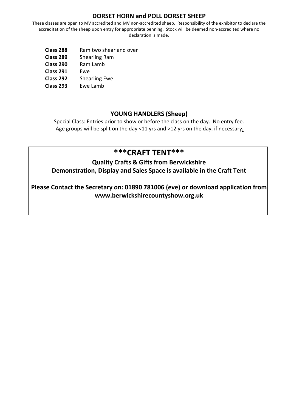#### **DORSET HORN and POLL DORSET SHEEP**

These classes are open to MV accredited and MV non-accredited sheep. Responsibility of the exhibitor to declare the accreditation of the sheep upon entry for appropriate penning. Stock will be deemed non-accredited where no declaration is made.

- **Class 288** Ram two shear and over
- **Class 289** Shearling Ram
- **Class 290** Ram Lamb
- **Class 291** Ewe
- **Class 292** Shearling Ewe
- **Class 293** Ewe Lamb

# **YOUNG HANDLERS (Sheep)**

Special Class: Entries prior to show or before the class on the day. No entry fee. Age groups will be split on the day <11 yrs and >12 yrs on the day, if necessary**.** 

# **\*\*\*CRAFT TENT\*\*\***

# **Quality Crafts & Gifts from Berwickshire**

**Demonstration, Display and Sales Space is available in the Craft Tent**

**Please Contact the Secretary on: 01890 781006 (eve) or download application from www.berwickshirecountyshow.org.uk**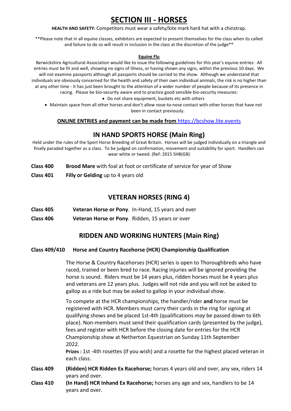# **SECTION III - HORSES**

**HEALTH AND SAFETY:** Competitors must wear a safety/kite mark hard hat with a chinstrap.

\*\*Please note that in all equine classes, exhibitors are expected to present themselves for the class when its called and failure to do so will result in inclusion in the class at the discretion of the judge\*\*

#### **Equine Flu**

Berwickshire Agricultural Association would like to issue the following guidelines for this year's equine entries: All entries must be fit and well, showing no signs of illness, or having shown any signs, within the previous 10 days. We will not examine passports although all passports should be carried to the show. Although we understand that individuals are obviously concerned for the health and safety of their own individual animals, the risk is no higher than at any other time - it has just been brought to the attention of a wider number of people because of its presence in racing. Please be bio-security aware and to practice good sensible bio-security measures:

- Do not share equipment, buckets etc with others
- Maintain space from all other horses and don't allow nose-to-nose contact with other horses that have not been in contact previously.

#### **ONLINE ENTRIES and payment can be made from** https://bcshow.lite.events

#### **IN HAND SPORTS HORSE (Main Ring)**

Held under the rules of the Sport Horse Breeding of Great Britain. Horses will be judged individually on a triangle and finally paraded together as a class. To be judged on confirmation, movement and suitability for sport. Handlers can wear white or tweed. (Ref: 2015 SHB(GB)

- **Class 400 Brood Mare** with foal at foot or certificate of service for year of Show
- **Class 401 Filly or Gelding** up to 4 years old

#### **VETERAN HORSES (RING 4)**

- **Class 405 Veteran Horse or Pony**. In-Hand, 15 years and over
- **Class 406 Veteran Horse or Pony**. Ridden, 15 years or over

### **RIDDEN AND WORKING HUNTERS (Main Ring)**

#### **Class 409/410 Horse and Country Racehorse (HCR) Championship Qualification**

The Horse & Country Racehorses (HCR) series is open to Thoroughbreds who have raced, trained or been bred to race. Racing injuries will be ignored providing the horse is sound. Riders must be 14 years plus, ridden horses must be 4 years plus and veterans are 12 years plus. Judges will not ride and you will not be asked to gallop as a ride but may be asked to gallop in your individual show.

To compete at the HCR championships, the handler/rider **and** horse must be registered with HCR. Members must carry their cards in the ring for signing at qualifying shows and be placed 1st-4th (qualifications *may* be passed down to 6th place). Non-members must send their qualification cards (presented by the judge), fees and register with HCR before the closing date for entries for the HCR Championship show at Netherton Equestrian on Sunday 11th September 2022.

**Prizes :** 1st -4th rosettes (if you wish) and a rosette for the highest placed veteran in each class.

- **Class 409 (Ridden) HCR Ridden Ex Racehorse;** horses 4 years old and over, any sex, riders 14 years and over.
- **Class 410 (In Hand) HCR Inhand Ex Racehorse;** horses any age and sex, handlers to be 14 years and over.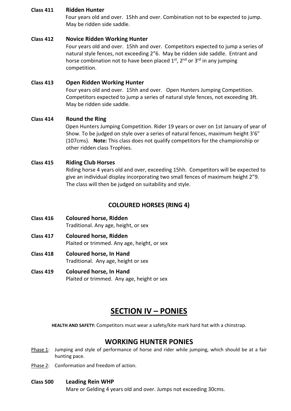#### **Class 411 Ridden Hunter**

 Four years old and over. 15hh and over. Combination not to be expected to jump. May be ridden side saddle.

#### **Class 412 Novice Ridden Working Hunter**

Four years old and over. 15hh and over. Competitors expected to jump a series of natural style fences, not exceeding 2"6. May be ridden side saddle. Entrant and horse combination not to have been placed  $1<sup>st</sup>$ ,  $2<sup>nd</sup>$  or  $3<sup>rd</sup>$  in any jumping competition.

#### **Class 413 Open Ridden Working Hunter**

Four years old and over. 15hh and over. Open Hunters Jumping Competition. Competitors expected to jump a series of natural style fences, not exceeding 3ft. May be ridden side saddle.

#### **Class 414 Round the Ring**

 Open Hunters Jumping Competition. Rider 19 years or over on 1st January of year of Show. To be judged on style over a series of natural fences, maximum height 3'6" (107cms). **Note:** This class does not qualify competitors for the championship or other ridden class Trophies.

#### **Class 415 Riding Club Horses**

Riding horse 4 years old and over, exceeding 15hh. Competitors will be expected to give an individual display incorporating two small fences of maximum height 2"9. The class will then be judged on suitability and style.

#### **COLOURED HORSES (RING 4)**

- **Class 416 Coloured horse, Ridden** Traditional. Any age, height, or sex
- **Class 417 Coloured horse, Ridden** Plaited or trimmed. Any age, height, or sex
- **Class 418 Coloured horse, In Hand** Traditional. Any age, height or sex
- **Class 419 Coloured horse, In Hand** Plaited or trimmed. Any age, height or sex

# **SECTION IV – PONIES**

**HEALTH AND SAFETY:** Competitors must wear a safety/kite mark hard hat with a chinstrap.

### **WORKING HUNTER PONIES**

- Phase 1: Jumping and style of performance of horse and rider while jumping, which should be at a fair hunting pace.
- Phase 2: Conformation and freedom of action.

#### **Class 500 Leading Rein WHP**

Mare or Gelding 4 years old and over. Jumps not exceeding 30cms.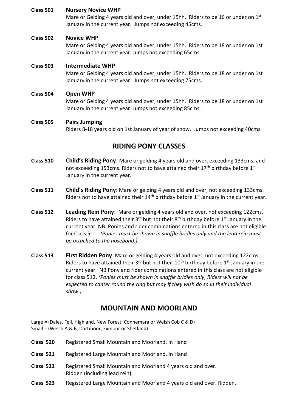#### **Class 501 Nursery Novice WHP**

Mare or Gelding 4 years old and over, under 15hh. Riders to be 16 or under on 1<sup>st</sup> January in the current year. Jumps not exceeding 45cms.

#### **Class 502 Novice WHP**

Mare or Gelding 4 years old and over, under 15hh. Riders to be 18 or under on 1st January in the current year. Jumps not exceeding 65cms.

#### **Class 503 Intermediate WHP**

Mare or Gelding 4 years old and over, under 15hh. Riders to be 18 or under on 1st January in the current year. Jumps not exceeding 75cms.

#### **Class 504 Open WHP**

Mare or Gelding 4 years old and over, under 15hh. Riders to be 18 or under on 1st January in the current year. Jumps not exceeding 85cms.

#### **Class 505 Pairs Jumping**

Riders 8-18 years old on 1st January of year of show. Jumps not exceeding 40cms.

#### **RIDING PONY CLASSES**

- **Class 510 Child's Riding Pony**: Mare or gelding 4 years old and over, exceeding 133cms. and not exceeding 153cms. Riders not to have attained their  $17<sup>th</sup>$  birthday before  $1<sup>st</sup>$ January in the current year.
- **Class 511 Child's Riding Pony**: Mare or gelding 4 years old and over, not exceeding 133cms. Riders not to have attained their  $14<sup>th</sup>$  birthday before  $1<sup>st</sup>$  January in the current year.
- **Class 512 Leading Rein Pony**: Mare or gelding 4 years old and over, not exceeding 122cms. Riders to have attained their  $3^{rd}$  but not their  $8^{th}$  birthday before  $1^{st}$  January in the current year. NB: Ponies and rider combinations entered in this class are not eligible for Class 511. *(Ponies must be shown in snaffle bridles only and the lead rein must be attached to the noseband.)***.**
- **Class 513 First Ridden Pony**: Mare or gelding 4 years old and over, not exceeding 122cms. Riders to have attained their  $3^{rd}$  but not their  $10^{th}$  birthday before  $1^{st}$  January in the current year. NB Pony and rider combinations entered in this class are not eligible for class 512. *(Ponies must be shown in snaffle bridles only, Riders will not be expected to canter round the ring but may if they wish do so in their individual show.)*

### **MOUNTAIN AND MOORLAND**

Large = (Dales, Fell, Highland, New Forest, Connemara or Welsh Cob C & D) Small = (Welsh A & B, Dartmoor, Exmoor or Shetland)

- **Class 520** Registered Small Mountain and Moorland. In Hand
- **Class 521** Registered Large Mountain and Moorland. In Hand
- **Class 522** Registered Small Mountain and Moorland 4 years old and over. Ridden (including lead rein).
- **Class 523** Registered Large Mountain and Moorland 4 years old and over. Ridden.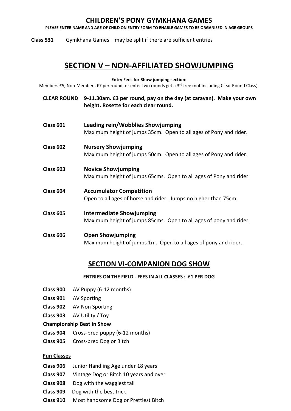### **CHILDREN'S PONY GYMKHANA GAMES**

**PLEASE ENTER NAME AND AGE OF CHILD ON ENTRY FORM TO ENABLE GAMES TO BE ORGANISED IN AGE GROUPS**

**Class 531** Gymkhana Games – may be split if there are sufficient entries

# **SECTION V – NON-AFFILIATED SHOWJUMPING**

**Entry Fees for Show jumping section:**

Members £5, Non-Members £7 per round, or enter two rounds get a 3<sup>rd</sup> free (not including Clear Round Class).

- **CLEAR ROUND 9-11.30am. £3 per round, pay on the day (at caravan). Make your own height. Rosette for each clear round.**
- **Class 601 Leading rein/Wobblies Showjumping** Maximum height of jumps 35cm. Open to all ages of Pony and rider.
- **Class 602 Nursery Showjumping** Maximum height of jumps 50cm. Open to all ages of Pony and rider.
- **Class 603 Novice Showjumping** Maximum height of jumps 65cms. Open to all ages of Pony and rider.
- **Class 604 Accumulator Competition** Open to all ages of horse and rider.Jumps no higher than 75cm.
- **Class 605 Intermediate Showjumping** Maximum height of jumps 85cms. Open to all ages of pony and rider.
- **Class 606 Open Showjumping** Maximum height of jumps 1m. Open to all ages of pony and rider.

# **SECTION VI-COMPANION DOG SHOW**

#### **ENTRIES ON THE FIELD - FEES IN ALL CLASSES : £1 PER DOG**

- **Class 900** AV Puppy (6-12 months)
- **Class 901** AV Sporting
- **Class 902** AV Non Sporting
- **Class 903** AV Utility / Toy

#### **Championship Best in Show**

- **Class 904** Cross-bred puppy (6-12 months)
- **Class 905** Cross-bred Dog or Bitch

#### **Fun Classes**

- **Class 906** Junior Handling Age under 18 years
- **Class 907** Vintage Dog or Bitch 10 years and over
- **Class 908** Dog with the waggiest tail
- **Class 909** Dog with the best trick
- **Class 910** Most handsome Dog or Prettiest Bitch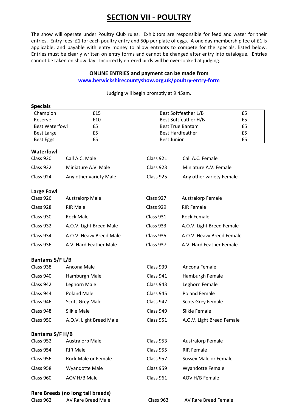# **SECTION VII - POULTRY**

The show will operate under Poultry Club rules. Exhibitors are responsible for feed and water for their entries. Entry fees: £1 for each poultry entry and 50p per plate of eggs. A one day membership fee of £1 is applicable, and payable with entry money to allow entrants to compete for the specials, listed below. Entries must be clearly written on entry forms and cannot be changed after entry into catalogue. Entries cannot be taken on show day. Incorrectly entered birds will be over-looked at judging.

#### **ONLINE ENTRIES and payment can be made from**

#### **[www.berwickshirecountyshow.org.uk/poultry-entry-form](http://www.berwickshirecountyshow.org.uk/poultry-entry-form)**

Judging will begin promptly at 9.45am.

| <b>Specials</b>       |                                   |                    |                           |    |
|-----------------------|-----------------------------------|--------------------|---------------------------|----|
| Champion              | £15                               |                    | Best Softfeather L/B      | £5 |
| Reserve               | £10                               |                    | Best Softfeather H/B      | £5 |
| <b>Best Waterfowl</b> | £5                                |                    | <b>Best True Bantam</b>   | £5 |
| <b>Best Large</b>     | £5                                |                    | <b>Best Hardfeather</b>   | £5 |
| Best Eggs             | £5                                | <b>Best Junior</b> |                           | £5 |
| <b>Waterfowl</b>      |                                   |                    |                           |    |
| Class 920             | Call A.C. Male                    | Class 921          | Call A.C. Female          |    |
| Class 922             | Miniature A.V. Male               | Class 923          | Miniature A.V. Female     |    |
| Class 924             | Any other variety Male            | Class 925          | Any other variety Female  |    |
| Large Fowl            |                                   |                    |                           |    |
| Class 926             | <b>Australorp Male</b>            | Class 927          | Australorp Female         |    |
| Class 928             | <b>RIR Male</b>                   | Class 929          | <b>RIR Female</b>         |    |
| Class 930             | <b>Rock Male</b>                  | Class 931          | <b>Rock Female</b>        |    |
| Class 932             | A.O.V. Light Breed Male           | Class 933          | A.O.V. Light Breed Female |    |
| Class 934             | A.O.V. Heavy Breed Male           | Class 935          | A.O.V. Heavy Breed Female |    |
| Class 936             | A.V. Hard Feather Male            | Class 937          | A.V. Hard Feather Female  |    |
| Bantams S/F L/B       |                                   |                    |                           |    |
| Class 938             | Ancona Male                       | Class 939          | Ancona Female             |    |
| Class 940             | Hamburgh Male                     | Class 941          | Hamburgh Female           |    |
| Class 942             | Leghorn Male                      | Class 943          | Leghorn Female            |    |
| Class 944             | <b>Poland Male</b>                | Class 945          | <b>Poland Female</b>      |    |
| Class 946             | <b>Scots Grey Male</b>            | Class 947          | <b>Scots Grey Female</b>  |    |
| Class 948             | Silkie Male                       | Class 949          | Silkie Female             |    |
| Class 950             | A.O.V. Light Breed Male           | Class 951          | A.O.V. Light Breed Female |    |
| Bantams S/F H/B       |                                   |                    |                           |    |
| Class 952             | <b>Australorp Male</b>            | Class 953          | <b>Australorp Female</b>  |    |
| Class 954             | <b>RIR Male</b>                   | Class 955          | <b>RIR Female</b>         |    |
| Class 956             | Rock Male or Female               | Class 957          | Sussex Male or Female     |    |
| Class 958             | Wyandotte Male                    | Class 959          | <b>Wyandotte Female</b>   |    |
| Class 960             | AOV H/B Male                      | Class 961          | AOV H/B Female            |    |
|                       | Rare Breeds (no long tail breeds) |                    |                           |    |

| Class 962 | AV Rare Breed Ma |
|-----------|------------------|
|           |                  |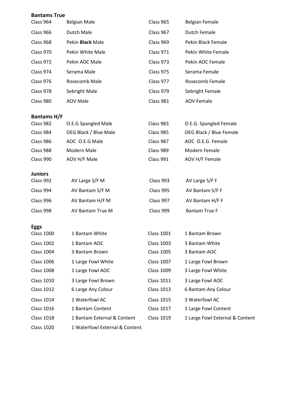| <b>Bantams True</b> |                                |                                        |                                          |
|---------------------|--------------------------------|----------------------------------------|------------------------------------------|
| Class 964           | <b>Belgian Male</b>            | Class 965                              | <b>Belgian Female</b>                    |
| Class 966           | Dutch Male                     | Class 967                              | <b>Dutch Female</b>                      |
| Class 968           | Pekin <b>Black</b> Male        | Class 969                              | Pekin Black Female                       |
| Class 970           | Pekin White Male               | Class 971                              | Pekin White Female                       |
| Class 972           | Pekin AOC Male                 | Class 973                              | Pekin AOC Female                         |
| Class 974           | Serama Male                    | Class 975                              | Serama Female                            |
| Class 976           | Rosecomb Male                  | Class 977                              | Rosecomb Female                          |
| Class 978           | Sebright Male                  | Class 979                              | Sebright Female                          |
| Class 980           | <b>AOV Male</b>                | Class 981                              | <b>AOV Female</b>                        |
| <b>Bantams H/F</b>  |                                |                                        |                                          |
| Class 982           | O.E.G Spangled Male            | Class 983                              | O.E.G. Spangled Female                   |
| Class 984           | OEG Black / Blue Male          | Class 985                              | OEG Black / Blue Female                  |
| Class 986           | AOC O.E.G Male                 | Class 987                              | AOC O.E.G. Female                        |
| Class 988           | Modern Male                    | Class 989                              | Modern Female                            |
| Class 990           | AOV H/F Male                   | Class 991                              | AOV H/F Female                           |
| <b>Juniors</b>      |                                |                                        |                                          |
| Class 992           | AV Large S/F M                 | Class 993                              | AV Large S/F F                           |
| Class 994           | AV Bantam S/F M                | Class 995                              | AV Bantam S/F F                          |
| Class 996           | AV Bantam H/F M                | Class 997                              | AV Bantam H/F F                          |
| Class 998           | AV Bantam True M               | Class 999                              | <b>Bantam True F</b>                     |
| <b>Eggs</b>         |                                |                                        |                                          |
| <b>Class 1000</b>   | 1 Bantam White                 | <b>Class 1001</b>                      | 1 Bantam Brown                           |
| <b>Class 1002</b>   | 1 Bantam AOC<br>3 Bantam Brown | <b>Class 1003</b><br><b>Class 1005</b> | 3 Bantam White                           |
| <b>Class 1004</b>   |                                |                                        | 3 Bantam AOC                             |
| <b>Class 1006</b>   | 1 Large Fowl White             | <b>Class 1007</b><br><b>Class 1009</b> | 1 Large Fowl Brown<br>3 Large Fowl White |
| <b>Class 1008</b>   | 1 Large Fowl AOC               |                                        |                                          |
| <b>Class 1010</b>   | 3 Large Fowl Brown             | <b>Class 1011</b>                      | 3 Large Fowl AOC                         |
| <b>Class 1012</b>   | 6 Large Any Colour             | <b>Class 1013</b>                      | 6 Bantam Any Colour                      |
| <b>Class 1014</b>   | 1 Waterfowl AC                 | <b>Class 1015</b>                      | 3 Waterfowl AC                           |
| <b>Class 1016</b>   | 1 Bantam Content               | <b>Class 1017</b>                      | 1 Large Fowl Content                     |
| <b>Class 1018</b>   | 1 Bantam External & Content    | <b>Class 1019</b>                      | 1 Large Fowl External & Content          |
| <b>Class 1020</b>   | 1 Waterfowl External & Content |                                        |                                          |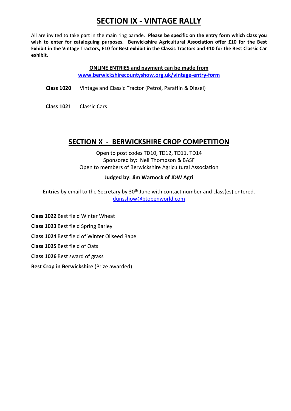# **SECTION IX - VINTAGE RALLY**

All are invited to take part in the main ring parade. **Please be specific on the entry form which class you wish to enter for cataloguing purposes. Berwickshire Agricultural Association offer £10 for the Best Exhibit in the Vintage Tractors, £10 for Best exhibit in the Classic Tractors and £10 for the Best Classic Car exhibit.**

> **ONLINE ENTRIES and payment can be made from [www.berwickshirecountyshow.org.uk/vintage-entry-form](http://www.berwickshirecountyshow.org.uk/vintage-entry-form)**

**Class 1020** Vintage and Classic Tractor (Petrol, Paraffin & Diesel)

**Class 1021** Classic Cars

# **SECTION X - BERWICKSHIRE CROP COMPETITION**

Open to post codes TD10, TD12, TD11, TD14 Sponsored by: Neil Thompson & BASF Open to members of Berwickshire Agricultural Association

#### **Judged by: Jim Warnock of JDW Agri**

Entries by email to the Secretary by 30<sup>th</sup> June with contact number and class(es) entered. [dunsshow@btopenworld.com](mailto:dunsshow@btopenworld.com)

**Class 1022** Best field Winter Wheat

**Class 1023** Best field Spring Barley

**Class 1024** Best field of Winter Oilseed Rape

**Class 1025** Best field of Oats

**Class 1026** Best sward of grass

**Best Crop in Berwickshire** (Prize awarded)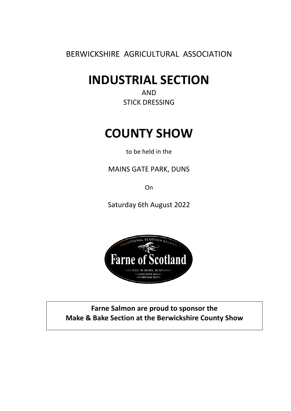BERWICKSHIRE AGRICULTURAL ASSOCIATION

# **INDUSTRIAL SECTION**

AND STICK DRESSING

# **COUNTY SHOW**

to be held in the

MAINS GATE PARK, DUNS

**On** 

Saturday 6th August 2022



**Farne Salmon are proud to sponsor the Make & Bake Section at the Berwickshire County Show**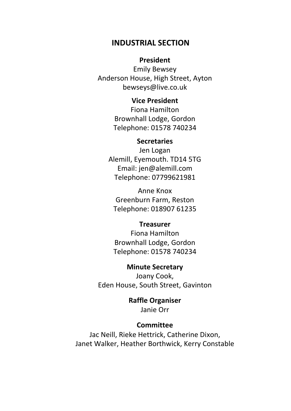# **INDUSTRIAL SECTION**

#### **President**

Emily Bewsey Anderson House, High Street, Ayton bewseys@live.co.uk

## **Vice President**

Fiona Hamilton Brownhall Lodge, Gordon Telephone: 01578 740234

#### **Secretaries**

Jen Logan Alemill, Eyemouth. TD14 5TG Email: jen@alemill.com Telephone: 07799621981

Anne Knox Greenburn Farm, Reston Telephone: 018907 61235

#### **Treasurer**

Fiona Hamilton Brownhall Lodge, Gordon Telephone: 01578 740234

### **Minute Secretary**

Joany Cook, Eden House, South Street, Gavinton

# **Raffle Organiser**

Janie Orr

## **Committee**

Jac Neill, Rieke Hettrick, Catherine Dixon, Janet Walker, Heather Borthwick, Kerry Constable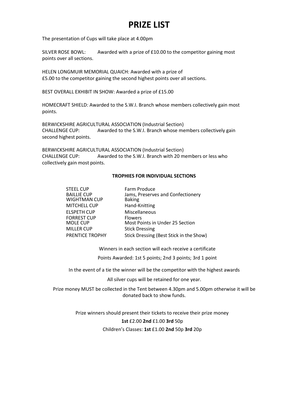# **PRIZE LIST**

The presentation of Cups will take place at 4.00pm

SILVER ROSE BOWL: Awarded with a prize of £10.00 to the competitor gaining most points over all sections.

HELEN LONGMUIR MEMORIAL QUAICH: Awarded with a prize of £5.00 to the competitor gaining the second highest points over all sections.

BEST OVERALL EXHIBIT IN SHOW: Awarded a prize of £15.00

HOMECRAFT SHIELD: Awarded to the S.W.I. Branch whose members collectively gain most points.

BERWICKSHIRE AGRICULTURAL ASSOCIATION (Industrial Section) CHALLENGE CUP: Awarded to the S.W.I. Branch whose members collectively gain second highest points.

BERWICKSHIRE AGRICULTURAL ASSOCIATION (Industrial Section) CHALLENGE CUP: Awarded to the S.W.I. Branch with 20 members or less who collectively gain most points.

#### **TROPHIES FOR INDIVIDUAL SECTIONS**

| <b>STEEL CUP</b>    | Farm Produce                            |
|---------------------|-----------------------------------------|
| <b>BAILLIE CUP</b>  | Jams, Preserves and Confectionery       |
| <b>WIGHTMAN CUP</b> | <b>Baking</b>                           |
| <b>MITCHELL CUP</b> | Hand-Knitting                           |
| <b>ELSPETH CUP</b>  | Miscellaneous                           |
| <b>FORREST CUP</b>  | <b>Flowers</b>                          |
| MOLE CUP            | Most Points in Under 25 Section         |
| <b>MILLER CUP</b>   | <b>Stick Dressing</b>                   |
| PRENTICE TROPHY     | Stick Dressing (Best Stick in the Show) |

Winners in each section will each receive a certificate

Points Awarded: 1st 5 points; 2nd 3 points; 3rd 1 point

In the event of a tie the winner will be the competitor with the highest awards

All silver cups will be retained for one year.

Prize money MUST be collected in the Tent between 4.30pm and 5.00pm otherwise it will be donated back to show funds.

> Prize winners should present their tickets to receive their prize money **1st** £2.00 **2nd** £1.00 **3rd** 50p Children's Classes: **1st** £1.00 **2nd** 50p **3rd** 20p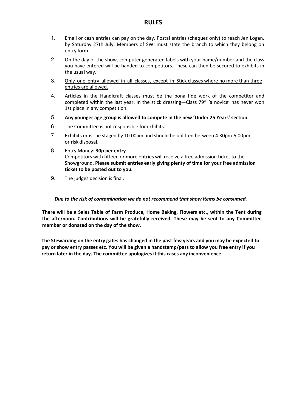#### **RULES**

- 1. Email or cash entries can pay on the day. Postal entries (cheques only) to reach Jen Logan, by Saturday 27th July. Members of SWI must state the branch to which they belong on entry form.
- 2. On the day of the show, computer generated labels with your name/number and the class you have entered will be handed to competitors. These can then be secured to exhibits in the usual way.
- 3. Only one entry allowed in all classes, except in Stick classes where no more than three entries are allowed.
- 4. Articles in the Handicraft classes must be the bona fide work of the competitor and completed within the last year. In the stick dressing—Class 79\* 'a novice' has never won 1st place in any competition.
- 5. **Any younger age group is allowed to compete in the new 'Under 25 Years' section**.
- 6. The Committee is not responsible for exhibits.
- 7. Exhibits must be staged by 10.00am and should be uplifted between 4.30pm-5.00pm or risk disposal.
- 8. Entry Money: **30p per entry**. Competitors with fifteen or more entries will receive a free admission ticket to the Showground. **Please submit entries early giving plenty of time for your free admission ticket to be posted out to you.**
- 9. The judges decision is final.

#### *Due to the risk of contamination we do not recommend that show items be consumed.*

**There will be a Sales Table of Farm Produce, Home Baking, Flowers etc., within the Tent during the afternoon. Contributions will be gratefully received. These may be sent to any Committee member or donated on the day of the show.**

**The Stewarding on the entry gates has changed in the past few years and you may be expected to pay or show entry passes etc. You will be given a handstamp/pass to allow you free entry if you return later in the day. The committee apologizes if this cases any inconvenience.**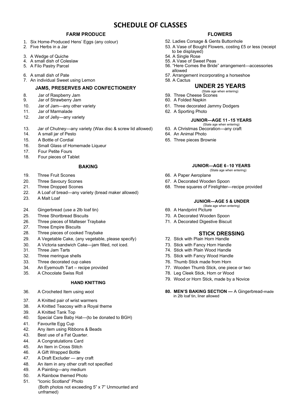# **SCHEDULE OF CLASSES**

#### **FARM PRODUCE FLOWERS**

- 1. Six Home-Produced Hens' Eggs (any colour) 52. Ladies Corsage & Gents Buttonhole<br>2. Five Herbs in a Jar 6. San Archives 2. A Vase of Bought Flowers, costing £
- 
- 
- 4. A small dish of Coleslaw<br>5. A Filo Pastry Parcel
- 
- 
- 7. An individual Sweet using Lemon

#### **JAMS, PRESERVES AND CONFECTIONERY UNDER 25 YEARS**

- 8. Jar of Raspberry Jam 59. Three Cheese Scones
- Jar of Strawberry Jam
- 10. Jar of Jam—any other variety 61. Three decorated Jammy Dodgers
- 
- 11. Jar of Marmalade 62. A Sporting Photo<br>12. Jar of Jelly—any variety 12. Jar of Jelly—any variety **JUNIOR—AGE 11 - 15 YEARS**
- 13. Jar of Chutney—any variety (Wax disc & screw lid allowed)
- 14. A small jar of Pesto 64. An Animal Photo
- 15. A Bottle of Cordial 65. Three pieces Brownie
- 16. Small Glass of Homemade Liqueur
- 17. Four Petite Fours<br>18. Four pieces of Ta
- Four pieces of Tablet

- 19. Three Fruit Scones **66. A Paper Aeroplane**
- 20. Three Savoury Scones<br>
21. Three Dropped Scones<br>
21. Three Dropped Scones<br>
68. Three squares of Firelighter–
- 
- 22. A Loaf of bread—any variety (bread maker allowed)
- 
- 24. Gingerbread (use a 2lb loaf tin)
- 25. Three Shortbread Biscuits 70. A Decorated Wooden Spoon
- 26. Three pieces of Malteser Traybake 71. A Decorated Digestive Biscuit 27. Three Empire Biscuits
- **Three Empire Biscuits**
- 
- 28. Three pieces of cooked Traybake<br>
29. A Vegetable Cake, (any vegetable, please specify) **STICK DRESSING**<br>
29. A Vegetable Cake, (any vegetable, please specify) 72. Stick with Plain Horn Handle A Vegetable Cake, (any vegetable, please specify)
- 30. A Victoria sandwich Cake—jam filled, not iced. 73. Stick with Fancy Horn Handle
- 
- 
- 33. Three decorated cup cakes 76. Thumb Stick made from Horn
- 34. An Eyemouth Tart recipe provided and the metal of the Tart 77. Wooden Thumb Stick, one piece or two 35. A Chocolate Swiss Roll
- 

#### **HAND KNITTING**

- 
- 37. A Knitted pair of wrist warmers
- 38. A Knitted Teacosy with a Royal theme
- 39. A Knitted Tank Top
- 40. Special Care Baby Hat—(to be donated to BGH)
- 41. Favourite Egg Cup
- 42. Any item using Ribbons & Beads
- 43. Best use of a Fat Quarter.
- 44. A Congratulations Card
- 45. An Item in Cross Stitch
- 46. A Gift Wrapped Bottle
- 47. A Draft Excluder any craft
- 48. An item in any other craft not specified
- 49. A Painting—any medium
- 50. A Rainbow themed Photo
- 51. "Iconic Scotland" Photo
	- (Both photos not exceeding 5" x 7" Unmounted and unframed)

- 
- 53. A Vase of Bought Flowers, costing £5 or less (receipt
- to be displayed)<br>54. A Single Rose
- 3. A Wedge of Quiche 54. A Single Rose (1999) 8-4. A Single Rose (1999) 8-4. A Single Rose (1999) 9-4. A Single Rose (1999) 9-4. A Single Rose (1999) 9-4. A Single Rose (1999) 9-55. A Vase of Sweet Peas
	- 56. "Here Comes the Bride" arrangement—accessories allowed
- 6. A small dish of Pate 57. Arrangement incorporating a horseshoe
	-

- (State age when entering)
- 
- 
- 
- 

- (State age when entering)<br>63. A Christmas Decoration—any craft
- 
- 
- **BAKING JUNIOR—AGE 6 - 10 YEARS** (State age when entering)
	-
	-
- 21. Three Dropped Scones **68. Three squares of Firelighter—recipe provided**

# 23. A Malt Loaf **JUNIOR—AGE 5 & UNDER**

- (State age when entering)<br>69. A Handprint Picture
- 
- -

- 
- 
- 31. Three Jam Tarts 74. Stick with Plain Wood Handle
- 32. Three meringue shells 75. Stick with Fancy Wood Handle
	-
	-
- 35. A Chocolate Swiss Roll 78. Leg Cleek Stick, Horn or Wood
	- 79. Wood or Horn Stick, made by a Novice
- 36. A Crocheted Item using wool **80. MEN'S BAKING SECTION —** A Gingerbread-made in 2lb loaf tin, liner allowed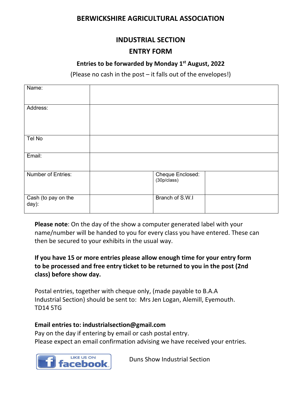# **BERWICKSHIRE AGRICULTURAL ASSOCIATION**

# **INDUSTRIAL SECTION**

### **ENTRY FORM**

### **Entries to be forwarded by Monday 1st August, 2022**

(Please no cash in the post – it falls out of the envelopes!)

| Name:                        |                                 |  |
|------------------------------|---------------------------------|--|
| Address:                     |                                 |  |
| Tel No                       |                                 |  |
| Email:                       |                                 |  |
| <b>Number of Entries:</b>    | Cheque Enclosed:<br>(30p/class) |  |
| Cash (to pay on the<br>day): | Branch of S.W.I                 |  |

**Please note**: On the day of the show a computer generated label with your name/number will be handed to you for every class you have entered. These can then be secured to your exhibits in the usual way.

# **If you have 15 or more entries please allow enough time for your entry form to be processed and free entry ticket to be returned to you in the post (2nd class) before show day.**

Postal entries, together with cheque only, (made payable to B.A.A Industrial Section) should be sent to: Mrs Jen Logan, Alemill, Eyemouth. TD14 5TG

#### **Email entries to: [industrialsection@gmail.com](mailto:industrialsection@gmail.com)**

Pay on the day if entering by email or cash postal entry. Please expect an email confirmation advising we have received your entries.



Duns Show Industrial Section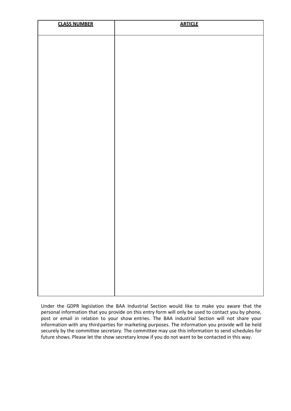| <b>CLASS NUMBER</b> | <b>ARTICLE</b> |
|---------------------|----------------|
|                     |                |
|                     |                |
|                     |                |
|                     |                |
|                     |                |
|                     |                |
|                     |                |
|                     |                |
|                     |                |
|                     |                |
|                     |                |
|                     |                |
|                     |                |
|                     |                |
|                     |                |
|                     |                |
|                     |                |
|                     |                |
|                     |                |

Under the GDPR legislation the BAA Industrial Section would like to make you aware that the personal information that you provide on this entry form will only be used to contact you by phone, post or email in relation to your show entries. The BAA industrial Section will not share your information with any third parties for marketing purposes. The information you provide will be held securely by the committee secretary. The committee may use this information to send schedules for future shows. Please let the show secretary know if you do not want to be contacted in this way.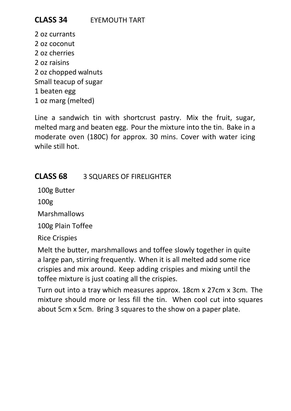oz currants oz coconut oz cherries oz raisins oz chopped walnuts Small teacup of sugar 1 beaten egg oz marg (melted)

Line a sandwich tin with shortcrust pastry. Mix the fruit, sugar, melted marg and beaten egg. Pour the mixture into the tin. Bake in a moderate oven (180C) for approx. 30 mins. Cover with water icing while still hot.

# **CLASS 68** 3 SQUARES OF FIRELIGHTER

100g Butter

100g

Marshmallows

100g Plain Toffee

Rice Crispies

Melt the butter, marshmallows and toffee slowly together in quite a large pan, stirring frequently. When it is all melted add some rice crispies and mix around. Keep adding crispies and mixing until the toffee mixture is just coating all the crispies.

Turn out into a tray which measures approx. 18cm x 27cm x 3cm. The mixture should more or less fill the tin. When cool cut into squares about 5cm x 5cm. Bring 3 squares to the show on a paper plate.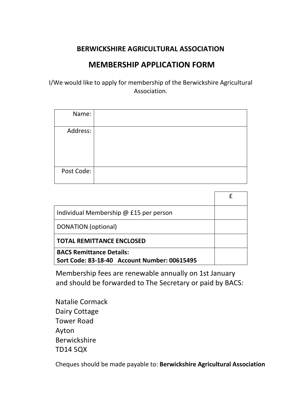# **BERWICKSHIRE AGRICULTURAL ASSOCIATION**

# **MEMBERSHIP APPLICATION FORM**

I/We would like to apply for membership of the Berwickshire Agricultural Association.

| Name:      |  |
|------------|--|
| Address:   |  |
| Post Code: |  |

| Individual Membership @ £15 per person       |  |
|----------------------------------------------|--|
| DONATION (optional)                          |  |
| <b>TOTAL REMITTANCE ENCLOSED</b>             |  |
| <b>BACS Remittance Details:</b>              |  |
| Sort Code: 83-18-40 Account Number: 00615495 |  |

Membership fees are renewable annually on 1st January and should be forwarded to The Secretary or paid by BACS:

Natalie Cormack Dairy Cottage Tower Road Ayton Berwickshire TD14 5QX

Cheques should be made payable to: **Berwickshire Agricultural Association**